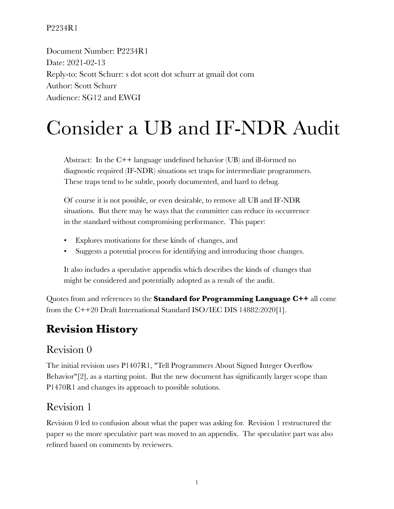Document Number: P2234R1 Date: 2021-02-13 Reply-to: Scott Schurr: s dot scott dot schurr at gmail dot com Author: Scott Schurr Audience: SG12 and EWGI

# Consider a UB and IF-NDR Audit

Abstract: In the C++ language undefined behavior (UB) and ill-formed no diagnostic required (IF-NDR) situations set traps for intermediate programmers. These traps tend to be subtle, poorly documented, and hard to debug.

Of course it is not possible, or even desirable, to remove all UB and IF-NDR situations. But there may be ways that the committee can reduce its occurrence in the standard without compromising performance. This paper:

- Explores motivations for these kinds of changes, and
- Suggests a potential process for identifying and introducing those changes.

It also includes a speculative appendix which describes the kinds of changes that might be considered and potentially adopted as a result of the audit.

Quotes from and references to the **Standard for Programming Language C++** all come from the C++20 Draft International Standard ISO/IEC DIS 14882:2020[1].

# **Revision History**

### Revision 0

The initial revision uses P1407R1, "Tell Programmers About Signed Integer Overflow Behavior"[2], as a starting point. But the new document has significantly larger scope than P1470R1 and changes its approach to possible solutions.

### Revision 1

Revision 0 led to confusion about what the paper was asking for. Revision 1 restructured the paper so the more speculative part was moved to an appendix. The speculative part was also refined based on comments by reviewers.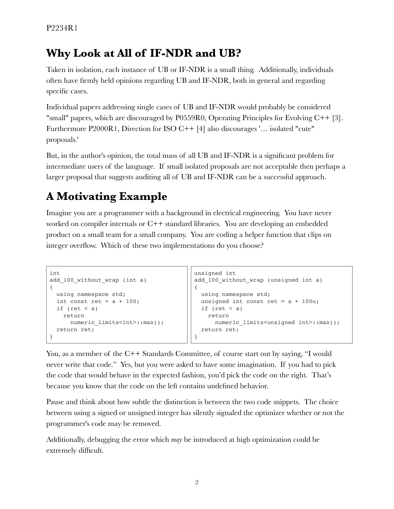# **Why Look at All of IF-NDR and UB?**

Taken in isolation, each instance of UB or IF-NDR is a small thing. Additionally, individuals often have firmly held opinions regarding UB and IF-NDR, both in general and regarding specific cases.

Individual papers addressing single cases of UB and IF-NDR would probably be considered "small" papers, which are discouraged by P0559R0, Operating Principles for Evolving C++ [3]. Furthermore P2000R1, Direction for ISO C++ [4] also discourages '… isolated "cute" proposals.'

But, in the author's opinion, the total mass of all UB and IF-NDR is a significant problem for intermediate users of the language. If small isolated proposals are not acceptable then perhaps a larger proposal that suggests auditing all of UB and IF-NDR can be a successful approach.

# **A Motivating Example**

Imagine you are a programmer with a background in electrical engineering. You have never worked on compiler internals or C++ standard libraries. You are developing an embedded product on a small team for a small company. You are coding a helper function that clips on integer overflow. Which of these two implementations do you choose?

```
int
add 100 without wrap (int a)
{
  using namespace std;
 int const ret = a + 100;
 if (ret \langle a \rangle return
      numeric limits<int>::max();
  return ret;
}
```

```
unsigned int
add 100 without wrap (unsigned int a)
{
  using namespace std;
 unsigned int const ret = a + 100u;
 if (ret \leq a)
     return
      numeric limits<unsigned int>::max();
  return ret;
}
```
You, as a member of the C++ Standards Committee, of course start out by saying, "I would never write that code." Yes, but you were asked to have some imagination. If you had to pick the code that would behave in the expected fashion, you'd pick the code on the right. That's because you know that the code on the left contains undefined behavior.

Pause and think about how subtle the distinction is between the two code snippets. The choice between using a signed or unsigned integer has silently signaled the optimizer whether or not the programmer's code may be removed.

Additionally, debugging the error which *may* be introduced at high optimization could be extremely difficult.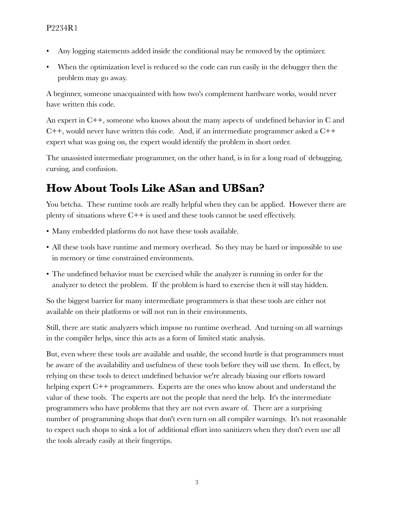- Any logging statements added inside the conditional may be removed by the optimizer.
- When the optimization level is reduced so the code can run easily in the debugger then the problem may go away.

A beginner, someone unacquainted with how two's complement hardware works, would never have written this code.

An expert in C++, someone who knows about the many aspects of undefined behavior in C and  $C++$ , would never have written this code. And, if an intermediate programmer asked a  $C++$ expert what was going on, the expert would identify the problem in short order.

The unassisted intermediate programmer, on the other hand, is in for a long road of debugging, cursing, and confusion.

# **How About Tools Like ASan and UBSan?**

You betcha. These runtime tools are really helpful when they can be applied. However there are plenty of situations where C++ is used and these tools cannot be used effectively.

- Many embedded platforms do not have these tools available.
- All these tools have runtime and memory overhead. So they may be hard or impossible to use in memory or time constrained environments.
- The undefined behavior must be exercised while the analyzer is running in order for the analyzer to detect the problem. If the problem is hard to exercise then it will stay hidden.

So the biggest barrier for many intermediate programmers is that these tools are either not available on their platforms or will not run in their environments.

Still, there are static analyzers which impose no runtime overhead. And turning on all warnings in the compiler helps, since this acts as a form of limited static analysis.

But, even where these tools are available and usable, the second hurtle is that programmers must be aware of the availability and usefulness of these tools before they will use them. In effect, by relying on these tools to detect undefined behavior we're already biasing our efforts toward helping expert C++ programmers. Experts are the ones who know about and understand the value of these tools. The experts are not the people that need the help. It's the intermediate programmers who have problems that they are not even aware of. There are a surprising number of programming shops that don't even turn on all compiler warnings. It's not reasonable to expect such shops to sink a lot of additional effort into sanitizers when they don't even use all the tools already easily at their fingertips.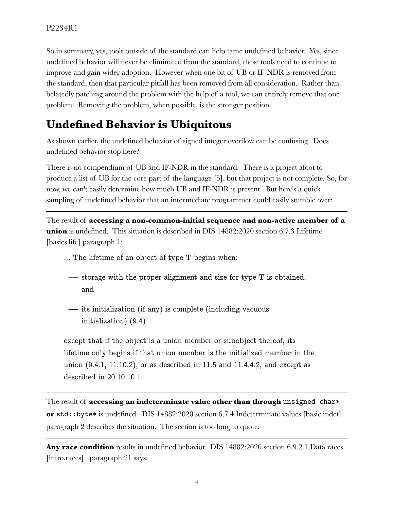So in summary, yes, tools outside of the standard can help tame undefined behavior. Yes, since undefined behavior will never be eliminated from the standard, these tools need to continue to improve and gain wider adoption. However when one bit of UB or IF-NDR is removed from the standard, then that particular pitfall has been removed from all consideration. Rather than belatedly patching around the problem with the help of a tool, we can entirely remove that one problem. Removing the problem, when possible, is the stronger position.

# **Undefined Behavior is Ubiquitous**

As shown earlier, the undefined behavior of signed integer overflow can be confusing. Does undefined behavior stop here?

There is no compendium of UB and IF-NDR in the standard. There is a project afoot to produce a list of UB for the core part of the language [5], but that project is not complete. So, for now, we can't easily determine how much UB and IF-NDR is present. But here's a quick sampling of undefined behavior that an intermediate programmer could easily stumble over:

The result of **accessing a non-common-initial sequence and non-active member of a union** is undefined. This situation is described in DIS 14882:2020 section 6.7.3 Lifetime [basics.life] paragraph 1:

- … The lifetime of an object of type T begins when:
	- storage with the proper alignment and size for type T is obtained, and
	- its initialization (if any) is complete (including vacuous initialization) (9.4)

except that if the object is a union member or subobject thereof, its lifetime only begins if that union member is the initialized member in the union  $(9.4.1, 11.10.2)$ , or as described in 11.5 and 11.4.4.2, and except as described in 20.10.10.1.

The result of **accessing an indeterminate value other than through unsigned char\* or std::byte\*** is undefined. DIS 14882:2020 section 6.7.4 Indeterminate values [basic.indet] paragraph 2 describes the situation. The section is too long to quote.

Any race condition results in undefined behavior. DIS 14882:2020 section 6.9.2.1 Data races [intro.races] paragraph 21 says: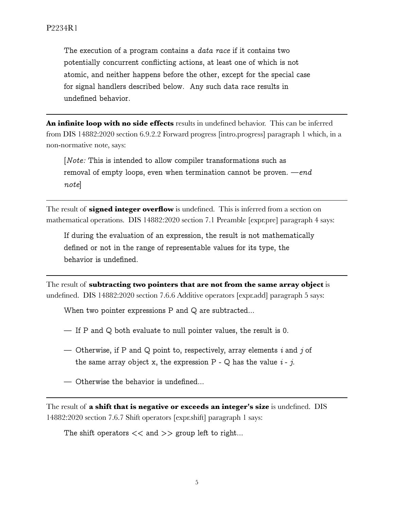The execution of a program contains a *data race* if it contains two potentially concurrent conflicting actions, at least one of which is not atomic, and neither happens before the other, except for the special case for signal handlers described below. Any such data race results in undefined behavior.

**An infinite loop with no side effects** results in undefined behavior. This can be inferred from DIS 14882:2020 section 6.9.2.2 Forward progress [intro.progress] paragraph 1 which, in a non-normative note, says:

[*Note:* This is intended to allow compiler transformations such as removal of empty loops, even when termination cannot be proven. —*end note*]

The result of **signed integer overflow** is undefined. This is inferred from a section on mathematical operations. DIS 14882:2020 section 7.1 Preamble [expr.pre] paragraph 4 says:

If during the evaluation of an expression, the result is not mathematically defined or not in the range of representable values for its type, the behavior is undefined.

The result of **subtracting two pointers that are not from the same array object** is undefined. DIS 14882:2020 section 7.6.6 Additive operators [expr.add] paragraph 5 says:

When two pointer expressions P and Q are subtracted…

- If P and Q both evaluate to null pointer values, the result is 0.
- Otherwise, if P and Q point to, respectively, array elements *i* and *j* of the same array object x, the expression  $P - Q$  has the value  $i - j$ .
- Otherwise the behavior is undefined…

The result of **a shift that is negative or exceeds an integer's size** is undefined. DIS 14882:2020 section 7.6.7 Shift operators [expr.shift] paragraph 1 says:

The shift operators  $<<$  and  $>>$  group left to right...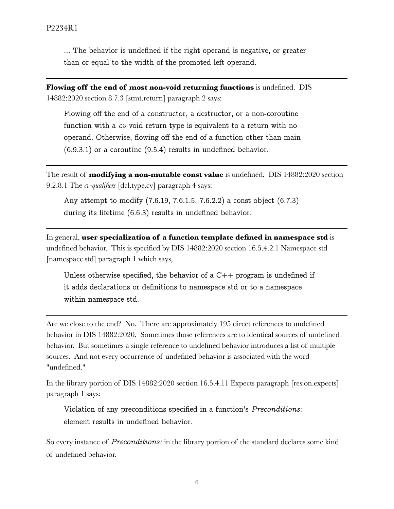… The behavior is undefined if the right operand is negative, or greater than or equal to the width of the promoted left operand.

**Flowing off the end of most non-void returning functions** is undefined. DIS 14882:2020 section 8.7.3 [stmt.return] paragraph 2 says:

Flowing off the end of a constructor, a destructor, or a non-coroutine function with a *cv* void return type is equivalent to a return with no operand. Otherwise, flowing off the end of a function other than main (6.9.3.1) or a coroutine (9.5.4) results in undefined behavior.

The result of **modifying a non-mutable const value** is undefined. DIS 14882:2020 section 9.2.8.1 The *cv-qualifiers* [dcl.type.cv] paragraph 4 says:

Any attempt to modify (7.6.19, 7.6.1.5, 7.6.2.2) a const object (6.7.3) during its lifetime (6.6.3) results in undefined behavior.

In general, **user specialization of a function template defined in namespace std** is undefined behavior. This is specified by DIS 14882:2020 section 16.5.4.2.1 Namespace std [namespace.std] paragraph 1 which says,

Unless otherwise specified, the behavior of a  $C++$  program is undefined if it adds declarations or definitions to namespace std or to a namespace within namespace std.

Are we close to the end? No. There are approximately 195 direct references to undefined behavior in DIS 14882:2020. Sometimes those references are to identical sources of undefined behavior. But sometimes a single reference to undefined behavior introduces a list of multiple sources. And not every occurrence of undefined behavior is associated with the word "undefined."

In the library portion of DIS 14882:2020 section 16.5.4.11 Expects paragraph [res.on.expects] paragraph 1 says:

Violation of any preconditions specified in a function's *Preconditions:*  element results in undefined behavior.

So every instance of *Preconditions:* in the library portion of the standard declares some kind of undefined behavior.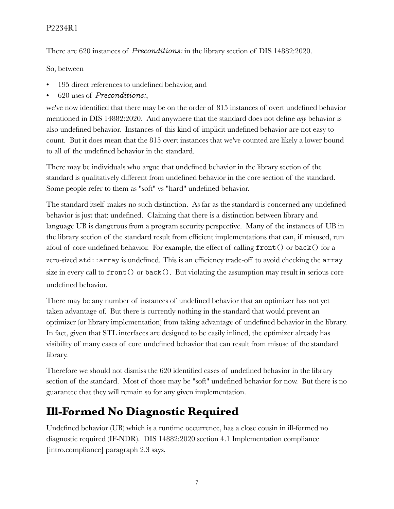There are 620 instances of *Preconditions:* in the library section of DIS 14882:2020.

So, between

- 195 direct references to undefined behavior, and
- 620 uses of *Preconditions:*,

we've now identified that there may be on the order of 815 instances of overt undefined behavior mentioned in DIS 14882:2020. And anywhere that the standard does not define *any* behavior is also undefined behavior. Instances of this kind of implicit undefined behavior are not easy to count. But it does mean that the 815 overt instances that we've counted are likely a lower bound to all of the undefined behavior in the standard.

There may be individuals who argue that undefined behavior in the library section of the standard is qualitatively different from undefined behavior in the core section of the standard. Some people refer to them as "soft" vs "hard" undefined behavior.

The standard itself makes no such distinction. As far as the standard is concerned any undefined behavior is just that: undefined. Claiming that there is a distinction between library and language UB is dangerous from a program security perspective. Many of the instances of UB in the library section of the standard result from efficient implementations that can, if misused, run afoul of core undefined behavior. For example, the effect of calling front() or back() for a zero-sized std::array is undefined. This is an efficiency trade-off to avoid checking the array size in every call to front () or back(). But violating the assumption may result in serious core undefined behavior.

There may be any number of instances of undefined behavior that an optimizer has not yet taken advantage of. But there is currently nothing in the standard that would prevent an optimizer (or library implementation) from taking advantage of undefined behavior in the library. In fact, given that STL interfaces are designed to be easily inlined, the optimizer already has visibility of many cases of core undefined behavior that can result from misuse of the standard library.

Therefore we should not dismiss the 620 identified cases of undefined behavior in the library section of the standard. Most of those may be "soft" undefined behavior for now. But there is no guarantee that they will remain so for any given implementation.

# **Ill-Formed No Diagnostic Required**

Undefined behavior (UB) which is a runtime occurrence, has a close cousin in ill-formed no diagnostic required (IF-NDR). DIS 14882:2020 section 4.1 Implementation compliance [intro.compliance] paragraph 2.3 says,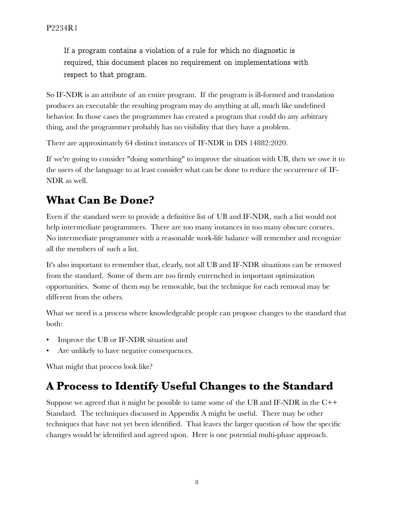If a program contains a violation of a rule for which no diagnostic is required, this document places no requirement on implementations with respect to that program.

So IF-NDR is an attribute of an entire program. If the program is ill-formed and translation produces an executable the resulting program may do anything at all, much like undefined behavior. In those cases the programmer has created a program that could do any arbitrary thing, and the programmer probably has no visibility that they have a problem.

There are approximately 64 distinct instances of IF-NDR in DIS 14882:2020.

If we're going to consider "doing something" to improve the situation with UB, then we owe it to the users of the language to at least consider what can be done to reduce the occurrence of IF-NDR as well.

### **What Can Be Done?**

Even if the standard were to provide a definitive list of UB and IF-NDR, such a list would not help intermediate programmers. There are too many instances in too many obscure corners. No intermediate programmer with a reasonable work-life balance will remember and recognize all the members of such a list.

It's also important to remember that, clearly, not all UB and IF-NDR situations can be removed from the standard. Some of them are too firmly entrenched in important optimization opportunities. Some of them *may* be removable, but the technique for each removal may be different from the others.

What we need is a process where knowledgeable people can propose changes to the standard that both:

- Improve the UB or IF-NDR situation and
- Are unlikely to have negative consequences.

What might that process look like?

### **A Process to Identify Useful Changes to the Standard**

Suppose we agreed that it might be possible to tame some of the UB and IF-NDR in the  $C++$ Standard. The techniques discussed in Appendix A might be useful. There may be other techniques that have not yet been identified. That leaves the larger question of how the specific changes would be identified and agreed upon. Here is one potential multi-phase approach.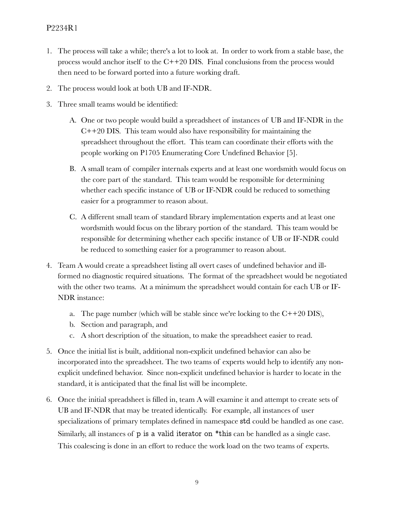- 1. The process will take a while; there's a lot to look at. In order to work from a stable base, the process would anchor itself to the C++20 DIS. Final conclusions from the process would then need to be forward ported into a future working draft.
- 2. The process would look at both UB and IF-NDR.
- 3. Three small teams would be identified:
	- A. One or two people would build a spreadsheet of instances of UB and IF-NDR in the C++20 DIS. This team would also have responsibility for maintaining the spreadsheet throughout the effort. This team can coordinate their efforts with the people working on P1705 Enumerating Core Undefined Behavior [5].
	- B. A small team of compiler internals experts and at least one wordsmith would focus on the core part of the standard. This team would be responsible for determining whether each specific instance of UB or IF-NDR could be reduced to something easier for a programmer to reason about.
	- C. A different small team of standard library implementation experts and at least one wordsmith would focus on the library portion of the standard. This team would be responsible for determining whether each specific instance of UB or IF-NDR could be reduced to something easier for a programmer to reason about.
- 4. Team A would create a spreadsheet listing all overt cases of undefined behavior and illformed no diagnostic required situations. The format of the spreadsheet would be negotiated with the other two teams. At a minimum the spreadsheet would contain for each UB or IF-NDR instance:
	- a. The page number (which will be stable since we're locking to the  $C++20$  DIS),
	- b. Section and paragraph, and
	- c. A short description of the situation, to make the spreadsheet easier to read.
- 5. Once the initial list is built, additional non-explicit undefined behavior can also be incorporated into the spreadsheet. The two teams of experts would help to identify any nonexplicit undefined behavior. Since non-explicit undefined behavior is harder to locate in the standard, it is anticipated that the final list will be incomplete.
- 6. Once the initial spreadsheet is filled in, team A will examine it and attempt to create sets of UB and IF-NDR that may be treated identically. For example, all instances of user specializations of primary templates defined in namespace std could be handled as one case. Similarly, all instances of p is a valid iterator on \*this can be handled as a single case. This coalescing is done in an effort to reduce the work load on the two teams of experts.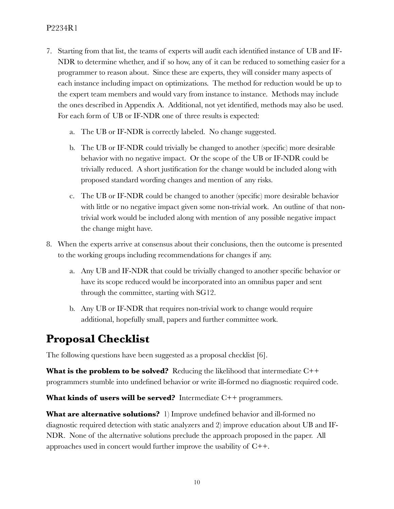- 7. Starting from that list, the teams of experts will audit each identified instance of UB and IF-NDR to determine whether, and if so how, any of it can be reduced to something easier for a programmer to reason about. Since these are experts, they will consider many aspects of each instance including impact on optimizations. The method for reduction would be up to the expert team members and would vary from instance to instance. Methods may include the ones described in Appendix A. Additional, not yet identified, methods may also be used. For each form of UB or IF-NDR one of three results is expected:
	- a. The UB or IF-NDR is correctly labeled. No change suggested.
	- b. The UB or IF-NDR could trivially be changed to another (specific) more desirable behavior with no negative impact. Or the scope of the UB or IF-NDR could be trivially reduced. A short justification for the change would be included along with proposed standard wording changes and mention of any risks.
	- c. The UB or IF-NDR could be changed to another (specific) more desirable behavior with little or no negative impact given some non-trivial work. An outline of that nontrivial work would be included along with mention of any possible negative impact the change might have.
- 8. When the experts arrive at consensus about their conclusions, then the outcome is presented to the working groups including recommendations for changes if any.
	- a. Any UB and IF-NDR that could be trivially changed to another specific behavior or have its scope reduced would be incorporated into an omnibus paper and sent through the committee, starting with SG12.
	- b. Any UB or IF-NDR that requires non-trivial work to change would require additional, hopefully small, papers and further committee work.

### **Proposal Checklist**

The following questions have been suggested as a proposal checklist [6].

**What is the problem to be solved?** Reducing the likelihood that intermediate C++ programmers stumble into undefined behavior or write ill-formed no diagnostic required code.

**What kinds of users will be served?** Intermediate C++ programmers.

**What are alternative solutions?** 1) Improve undefined behavior and ill-formed no diagnostic required detection with static analyzers and 2) improve education about UB and IF-NDR. None of the alternative solutions preclude the approach proposed in the paper. All approaches used in concert would further improve the usability of C++.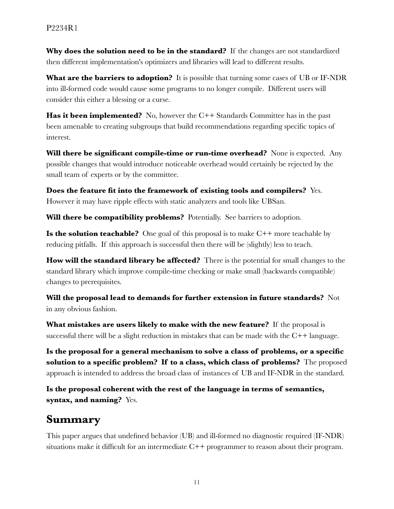**Why does the solution need to be in the standard?** If the changes are not standardized then different implementation's optimizers and libraries will lead to different results.

**What are the barriers to adoption?** It is possible that turning some cases of UB or IF-NDR into ill-formed code would cause some programs to no longer compile. Different users will consider this either a blessing or a curse.

**Has it been implemented?** No, however the C++ Standards Committee has in the past been amenable to creating subgroups that build recommendations regarding specific topics of interest.

**Will there be significant compile-time or run-time overhead?** None is expected. Any possible changes that would introduce noticeable overhead would certainly be rejected by the small team of experts or by the committee.

**Does the feature fit into the framework of existing tools and compilers?** Yes. However it may have ripple effects with static analyzers and tools like UBSan.

**Will there be compatibility problems?** Potentially. See barriers to adoption.

**Is the solution teachable?** One goal of this proposal is to make C++ more teachable by reducing pitfalls. If this approach is successful then there will be (slightly) less to teach.

**How will the standard library be affected?** There is the potential for small changes to the standard library which improve compile-time checking or make small (backwards compatible) changes to prerequisites.

**Will the proposal lead to demands for further extension in future standards?** Not in any obvious fashion.

**What mistakes are users likely to make with the new feature?** If the proposal is successful there will be a slight reduction in mistakes that can be made with the  $C++$  language.

**Is the proposal for a general mechanism to solve a class of problems, or a specific solution to a specific problem? If to a class, which class of problems?** The proposed approach is intended to address the broad class of instances of UB and IF-NDR in the standard.

**Is the proposal coherent with the rest of the language in terms of semantics, syntax, and naming?** Yes.

### **Summary**

This paper argues that undefined behavior (UB) and ill-formed no diagnostic required (IF-NDR) situations make it difficult for an intermediate C++ programmer to reason about their program.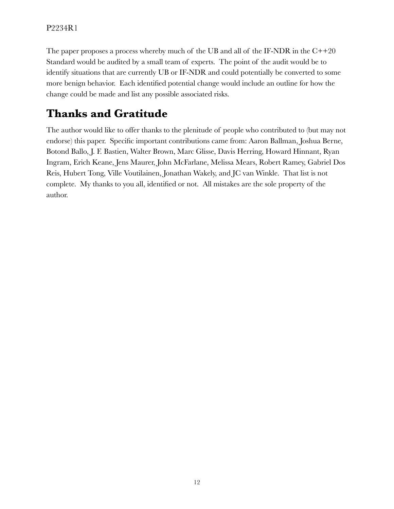The paper proposes a process whereby much of the UB and all of the IF-NDR in the  $C++20$ Standard would be audited by a small team of experts. The point of the audit would be to identify situations that are currently UB or IF-NDR and could potentially be converted to some more benign behavior. Each identified potential change would include an outline for how the change could be made and list any possible associated risks.

# **Thanks and Gratitude**

The author would like to offer thanks to the plenitude of people who contributed to (but may not endorse) this paper. Specific important contributions came from: Aaron Ballman, Joshua Berne, Botond Ballo, J. F. Bastien, Walter Brown, Marc Glisse, Davis Herring, Howard Hinnant, Ryan Ingram, Erich Keane, Jens Maurer, John McFarlane, Melissa Mears, Robert Ramey, Gabriel Dos Reis, Hubert Tong, Ville Voutilainen, Jonathan Wakely, and JC van Winkle. That list is not complete. My thanks to you all, identified or not. All mistakes are the sole property of the author.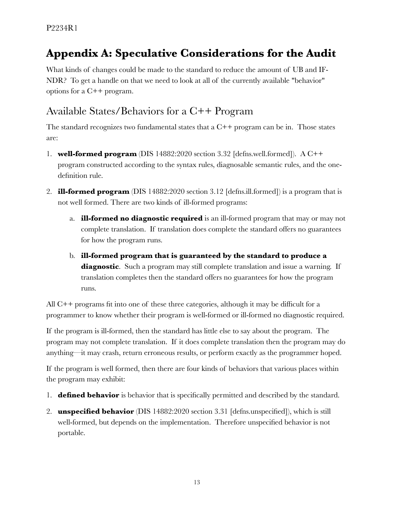# **Appendix A: Speculative Considerations for the Audit**

What kinds of changes could be made to the standard to reduce the amount of UB and IF-NDR? To get a handle on that we need to look at all of the currently available "behavior" options for a C++ program.

### Available States/Behaviors for a C++ Program

The standard recognizes two fundamental states that a  $C++$  program can be in. Those states are:

- 1. **well-formed program** (DIS 14882:2020 section 3.32 [defns.well.formed]). A C++ program constructed according to the syntax rules, diagnosable semantic rules, and the onedefinition rule.
- 2. **ill-formed program** (DIS 14882:2020 section 3.12 [defns.ill.formed]) is a program that is not well formed. There are two kinds of ill-formed programs:
	- a. **ill-formed no diagnostic required** is an ill-formed program that may or may not complete translation. If translation does complete the standard offers no guarantees for how the program runs.
	- b. **ill-formed program that is guaranteed by the standard to produce a diagnostic**. Such a program may still complete translation and issue a warning. If translation completes then the standard offers no guarantees for how the program runs.

All C++ programs fit into one of these three categories, although it may be difficult for a programmer to know whether their program is well-formed or ill-formed no diagnostic required.

If the program is ill-formed, then the standard has little else to say about the program. The program may not complete translation. If it does complete translation then the program may do anything—it may crash, return erroneous results, or perform exactly as the programmer hoped.

If the program is well formed, then there are four kinds of behaviors that various places within the program may exhibit:

- 1. **defined behavior** is behavior that is specifically permitted and described by the standard.
- 2. **unspecified behavior** (DIS 14882:2020 section 3.31 [defns.unspecified]), which is still well-formed, but depends on the implementation. Therefore unspecified behavior is not portable.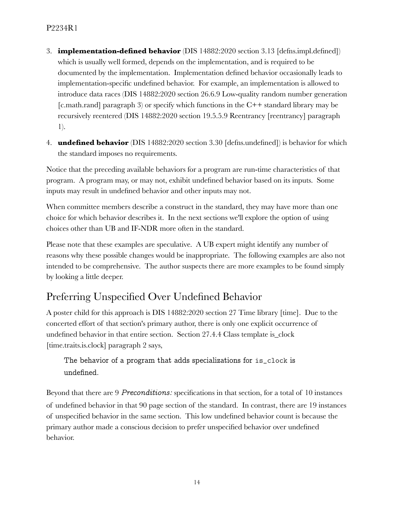- 3. **implementation-defined behavior** (DIS 14882:2020 section 3.13 [defns.impl.defined]) which is usually well formed, depends on the implementation, and is required to be documented by the implementation. Implementation defined behavior occasionally leads to implementation-specific undefined behavior. For example, an implementation is allowed to introduce data races (DIS 14882:2020 section 26.6.9 Low-quality random number generation [c.math.rand] paragraph 3) or specify which functions in the C++ standard library may be recursively reentered (DIS 14882:2020 section 19.5.5.9 Reentrancy [reentrancy] paragraph 1).
- 4. **undefined behavior** (DIS 14882:2020 section 3.30 [defns.undefined]) is behavior for which the standard imposes no requirements.

Notice that the preceding available behaviors for a program are run-time characteristics of that program. A program may, or may not, exhibit undefined behavior based on its inputs. Some inputs may result in undefined behavior and other inputs may not.

When committee members describe a construct in the standard, they may have more than one choice for which behavior describes it. In the next sections we'll explore the option of using choices other than UB and IF-NDR more often in the standard.

Please note that these examples are speculative. A UB expert might identify any number of reasons why these possible changes would be inappropriate. The following examples are also not intended to be comprehensive. The author suspects there are more examples to be found simply by looking a little deeper.

### Preferring Unspecified Over Undefined Behavior

A poster child for this approach is DIS 14882:2020 section 27 Time library [time]. Due to the concerted effort of that section's primary author, there is only one explicit occurrence of undefined behavior in that entire section. Section 27.4.4 Class template is\_clock [time.traits.is.clock] paragraph 2 says,

#### The behavior of a program that adds specializations for is\_clock is undefined.

Beyond that there are 9 *Preconditions:* specifications in that section, for a total of 10 instances of undefined behavior in that 90 page section of the standard. In contrast, there are 19 instances of unspecified behavior in the same section. This low undefined behavior count is because the primary author made a conscious decision to prefer unspecified behavior over undefined behavior.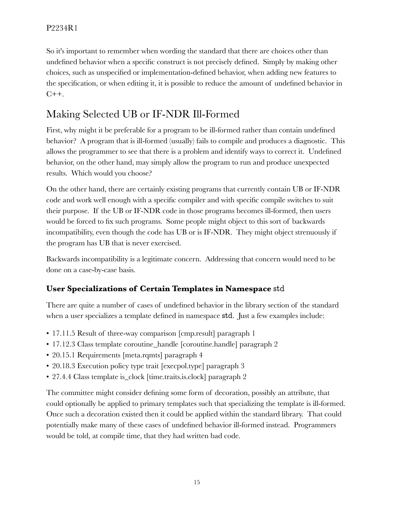So it's important to remember when wording the standard that there are choices other than undefined behavior when a specific construct is not precisely defined. Simply by making other choices, such as unspecified or implementation-defined behavior, when adding new features to the specification, or when editing it, it is possible to reduce the amount of undefined behavior in  $C++$ .

# Making Selected UB or IF-NDR Ill-Formed

First, why might it be preferable for a program to be ill-formed rather than contain undefined behavior? A program that is ill-formed (usually) fails to compile and produces a diagnostic. This allows the programmer to see that there is a problem and identify ways to correct it. Undefined behavior, on the other hand, may simply allow the program to run and produce unexpected results. Which would you choose?

On the other hand, there are certainly existing programs that currently contain UB or IF-NDR code and work well enough with a specific compiler and with specific compile switches to suit their purpose. If the UB or IF-NDR code in those programs becomes ill-formed, then users would be forced to fix such programs. Some people might object to this sort of backwards incompatibility, even though the code has UB or is IF-NDR. They might object strenuously if the program has UB that is never exercised.

Backwards incompatibility is a legitimate concern. Addressing that concern would need to be done on a case-by-case basis.

#### **User Specializations of Certain Templates in Namespace** std

There are quite a number of cases of undefined behavior in the library section of the standard when a user specializes a template defined in namespace std. Just a few examples include:

- 17.11.5 Result of three-way comparison [cmp.result] paragraph 1
- 17.12.3 Class template coroutine\_handle [coroutine.handle] paragraph 2
- 20.15.1 Requirements [meta.rqmts] paragraph 4
- 20.18.3 Execution policy type trait [execpol.type] paragraph 3
- 27.4.4 Class template is\_clock [time.traits.is.clock] paragraph 2

The committee might consider defining some form of decoration, possibly an attribute, that could optionally be applied to primary templates such that specializing the template is ill-formed. Once such a decoration existed then it could be applied within the standard library. That could potentially make many of these cases of undefined behavior ill-formed instead. Programmers would be told, at compile time, that they had written bad code.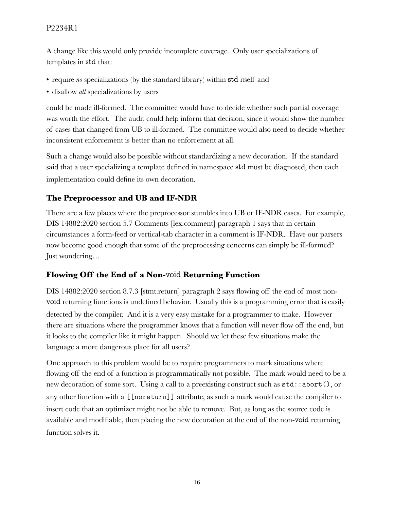A change like this would only provide incomplete coverage. Only user specializations of templates in std that:

- require *no* specializations (by the standard library) within std itself and
- disallow *all* specializations by users

could be made ill-formed. The committee would have to decide whether such partial coverage was worth the effort. The audit could help inform that decision, since it would show the number of cases that changed from UB to ill-formed. The committee would also need to decide whether inconsistent enforcement is better than no enforcement at all.

Such a change would also be possible without standardizing a new decoration. If the standard said that a user specializing a template defined in namespace std must be diagnosed, then each implementation could define its own decoration.

#### **The Preprocessor and UB and IF-NDR**

There are a few places where the preprocessor stumbles into UB or IF-NDR cases. For example, DIS 14882:2020 section 5.7 Comments [lex.comment] paragraph 1 says that in certain circumstances a form-feed or vertical-tab character in a comment is IF-NDR. Have our parsers now become good enough that some of the preprocessing concerns can simply be ill-formed? Just wondering…

#### **Flowing Off the End of a Non-**void **Returning Function**

DIS 14882:2020 section 8.7.3 [stmt.return] paragraph 2 says flowing off the end of most nonvoid returning functions is undefined behavior. Usually this is a programming error that is easily detected by the compiler. And it is a very easy mistake for a programmer to make. However there are situations where the programmer knows that a function will never flow off the end, but it looks to the compiler like it might happen. Should we let these few situations make the language a more dangerous place for all users?

One approach to this problem would be to require programmers to mark situations where flowing off the end of a function is programmatically not possible. The mark would need to be a new decoration of some sort. Using a call to a preexisting construct such as  $std::abort(),$  or any other function with a [[noreturn]] attribute, as such a mark would cause the compiler to insert code that an optimizer might not be able to remove. But, as long as the source code is available and modifiable, then placing the new decoration at the end of the non-void returning function solves it.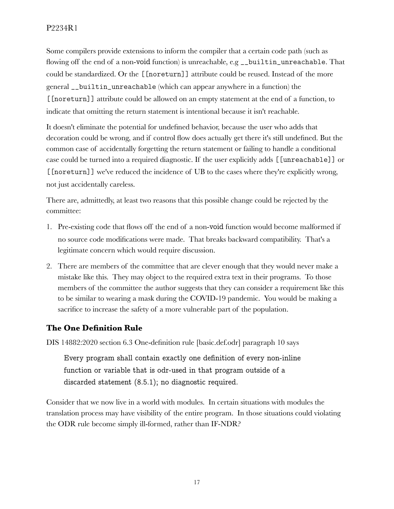Some compilers provide extensions to inform the compiler that a certain code path (such as flowing off the end of a non-void function) is unreachable, e.g \_\_builtin\_unreachable. That could be standardized. Or the [[noreturn]] attribute could be reused. Instead of the more general \_\_builtin\_unreachable (which can appear anywhere in a function) the [[noreturn]] attribute could be allowed on an empty statement at the end of a function, to indicate that omitting the return statement is intentional because it isn't reachable.

It doesn't eliminate the potential for undefined behavior, because the user who adds that decoration could be wrong, and if control flow does actually get there it's still undefined. But the common case of accidentally forgetting the return statement or failing to handle a conditional case could be turned into a required diagnostic. If the user explicitly adds [[unreachable]] or [[noreturn]] we've reduced the incidence of UB to the cases where they're explicitly wrong, not just accidentally careless.

There are, admittedly, at least two reasons that this possible change could be rejected by the committee:

- 1. Pre-existing code that flows off the end of a non-void function would become malformed if no source code modifications were made. That breaks backward compatibility. That's a legitimate concern which would require discussion.
- 2. There are members of the committee that are clever enough that they would never make a mistake like this. They may object to the required extra text in their programs. To those members of the committee the author suggests that they can consider a requirement like this to be similar to wearing a mask during the COVID-19 pandemic. You would be making a sacrifice to increase the safety of a more vulnerable part of the population.

#### **The One Definition Rule**

DIS 14882:2020 section 6.3 One-definition rule [basic.def.odr] paragraph 10 says

Every program shall contain exactly one definition of every non-inline function or variable that is odr-used in that program outside of a discarded statement (8.5.1); no diagnostic required.

Consider that we now live in a world with modules. In certain situations with modules the translation process may have visibility of the entire program. In those situations could violating the ODR rule become simply ill-formed, rather than IF-NDR?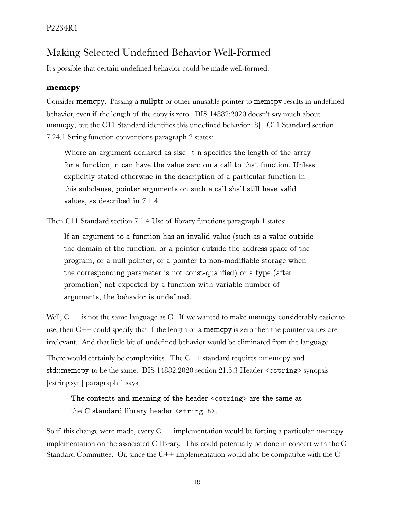### Making Selected Undefined Behavior Well-Formed

It's possible that certain undefined behavior could be made well-formed.

#### **memcpy**

Consider memcpy. Passing a nullptr or other unusable pointer to memcpy results in undefined behavior, even if the length of the copy is zero. DIS 14882:2020 doesn't say much about memcpy, but the C11 Standard identifies this undefined behavior [8]. C11 Standard section 7.24.1 String function conventions paragraph 2 states:

Where an argument declared as size t n specifies the length of the array for a function, n can have the value zero on a call to that function. Unless explicitly stated otherwise in the description of a particular function in this subclause, pointer arguments on such a call shall still have valid values, as described in 7.1.4.

Then C11 Standard section 7.1.4 Use of library functions paragraph 1 states:

If an argument to a function has an invalid value (such as a value outside the domain of the function, or a pointer outside the address space of the program, or a null pointer, or a pointer to non-modifiable storage when the corresponding parameter is not const-qualified) or a type (after promotion) not expected by a function with variable number of arguments, the behavior is undefined.

Well, C<sup>++</sup> is not the same language as C. If we wanted to make memogy considerably easier to use, then C++ could specify that if the length of a memcpy is zero then the pointer values are irrelevant. And that little bit of undefined behavior would be eliminated from the language.

There would certainly be complexities. The C++ standard requires ::memcpy and std::memcpy to be the same. DIS 14882:2020 section 21.5.3 Header <cstring> synopsis [cstring.syn] paragraph 1 says

#### The contents and meaning of the header <cstring> are the same as the C standard library header  $\leq$ tring.h>.

So if this change were made, every  $C++$  implementation would be forcing a particular memcpy implementation on the associated C library. This could potentially be done in concert with the C Standard Committee. Or, since the  $C++$  implementation would also be compatible with the  $C$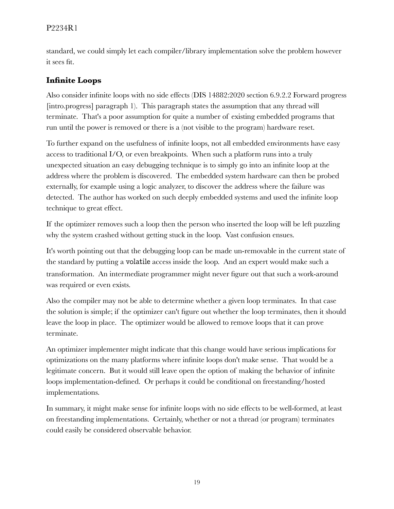standard, we could simply let each compiler/library implementation solve the problem however it sees fit.

#### **Infinite Loops**

Also consider infinite loops with no side effects (DIS 14882:2020 section 6.9.2.2 Forward progress [intro.progress] paragraph 1). This paragraph states the assumption that any thread will terminate. That's a poor assumption for quite a number of existing embedded programs that run until the power is removed or there is a (not visible to the program) hardware reset.

To further expand on the usefulness of infinite loops, not all embedded environments have easy access to traditional I/O, or even breakpoints. When such a platform runs into a truly unexpected situation an easy debugging technique is to simply go into an infinite loop at the address where the problem is discovered. The embedded system hardware can then be probed externally, for example using a logic analyzer, to discover the address where the failure was detected. The author has worked on such deeply embedded systems and used the infinite loop technique to great effect.

If the optimizer removes such a loop then the person who inserted the loop will be left puzzling why the system crashed without getting stuck in the loop. Vast confusion ensues.

It's worth pointing out that the debugging loop can be made un-removable in the current state of the standard by putting a volatile access inside the loop. And an expert would make such a transformation. An intermediate programmer might never figure out that such a work-around was required or even exists.

Also the compiler may not be able to determine whether a given loop terminates. In that case the solution is simple; if the optimizer can't figure out whether the loop terminates, then it should leave the loop in place. The optimizer would be allowed to remove loops that it can prove terminate.

An optimizer implementer might indicate that this change would have serious implications for optimizations on the many platforms where infinite loops don't make sense. That would be a legitimate concern. But it would still leave open the option of making the behavior of infinite loops implementation-defined. Or perhaps it could be conditional on freestanding/hosted implementations.

In summary, it might make sense for infinite loops with no side effects to be well-formed, at least on freestanding implementations. Certainly, whether or not a thread (or program) terminates could easily be considered observable behavior.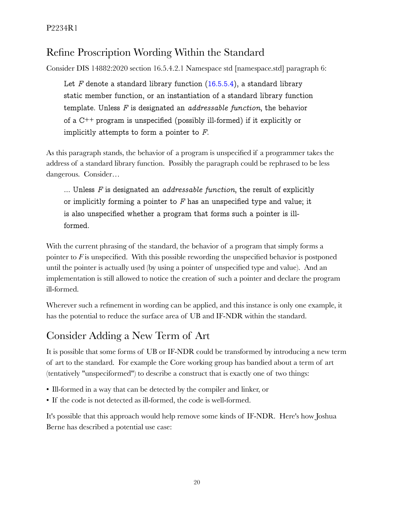# Refine Proscription Wording Within the Standard

Consider DIS 14882:2020 section 16.5.4.2.1 Namespace std [namespace.std] paragraph 6:

Let *F* denote a standard library function (16.5.5.4), a standard library static member function, or an instantiation of a standard library function template. Unless *F* is designated an *addressable function*, the behavior of a C++ program is unspecified (possibly ill-formed) if it explicitly or implicitly attempts to form a pointer to *F*.

As this paragraph stands, the behavior of a program is unspecified if a programmer takes the address of a standard library function. Possibly the paragraph could be rephrased to be less dangerous. Consider…

… Unless *F* is designated an *addressable function*, the result of explicitly or implicitly forming a pointer to *F* has an unspecified type and value; it is also unspecified whether a program that forms such a pointer is illformed.

With the current phrasing of the standard, the behavior of a program that simply forms a pointer to *F* is unspecified. With this possible rewording the unspecified behavior is postponed until the pointer is actually used (by using a pointer of unspecified type and value). And an implementation is still allowed to notice the creation of such a pointer and declare the program ill-formed.

Wherever such a refinement in wording can be applied, and this instance is only one example, it has the potential to reduce the surface area of UB and IF-NDR within the standard.

# Consider Adding a New Term of Art

It is possible that some forms of UB or IF-NDR could be transformed by introducing a new term of art to the standard. For example the Core working group has bandied about a term of art (tentatively "unspeciformed") to describe a construct that is exactly one of two things:

- Ill-formed in a way that can be detected by the compiler and linker, or
- If the code is not detected as ill-formed, the code is well-formed.

It's possible that this approach would help remove some kinds of IF-NDR. Here's how Joshua Berne has described a potential use case: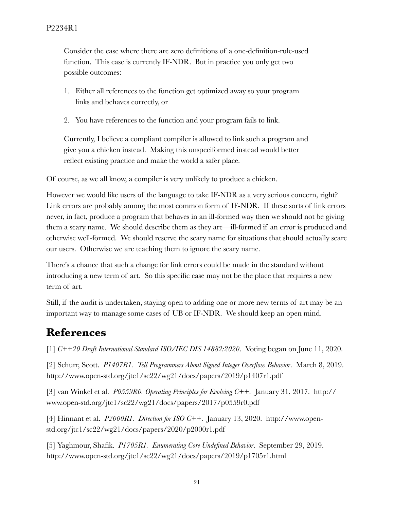Consider the case where there are zero definitions of a one-definition-rule-used function. This case is currently IF-NDR. But in practice you only get two possible outcomes:

- 1. Either all references to the function get optimized away so your program links and behaves correctly, or
- 2. You have references to the function and your program fails to link.

Currently, I believe a compliant compiler is allowed to link such a program and give you a chicken instead. Making this unspeciformed instead would better reflect existing practice and make the world a safer place.

Of course, as we all know, a compiler is very unlikely to produce a chicken.

However we would like users of the language to take IF-NDR as a very serious concern, right? Link errors are probably among the most common form of IF-NDR. If these sorts of link errors never, in fact, produce a program that behaves in an ill-formed way then we should not be giving them a scary name. We should describe them as they are—ill-formed if an error is produced and otherwise well-formed. We should reserve the scary name for situations that should actually scare our users. Otherwise we are teaching them to ignore the scary name.

There's a chance that such a change for link errors could be made in the standard without introducing a new term of art. So this specific case may not be the place that requires a new term of art.

Still, if the audit is undertaken, staying open to adding one or more new terms of art may be an important way to manage some cases of UB or IF-NDR. We should keep an open mind.

### **References**

[1] *C++20 Draft International Standard ISO/IEC DIS 14882:2020*. Voting began on June 11, 2020.

[2] Schurr, Scott. *P1407R1. Tell Programmers About Signed Integer Overflow Behavior*. March 8, 2019. http://www.open-std.org/jtc1/sc22/wg21/docs/papers/2019/p1407r1.pdf

[3] van Winkel et al. *P0559R0. Operating Principles for Evolving C++*. January 31, 2017. http:// www.open-std.org/jtc1/sc22/wg21/docs/papers/2017/p0559r0.pdf

[4] Hinnant et al. *P2000R1. Direction for ISO C++*. January 13, 2020. http://www.openstd.org/jtc1/sc22/wg21/docs/papers/2020/p2000r1.pdf

[5] Yaghmour, Shafik. *P1705R1. Enumerating Core Undefined Behavior*. September 29, 2019. http://www.open-std.org/jtc1/sc22/wg21/docs/papers/2019/p1705r1.html